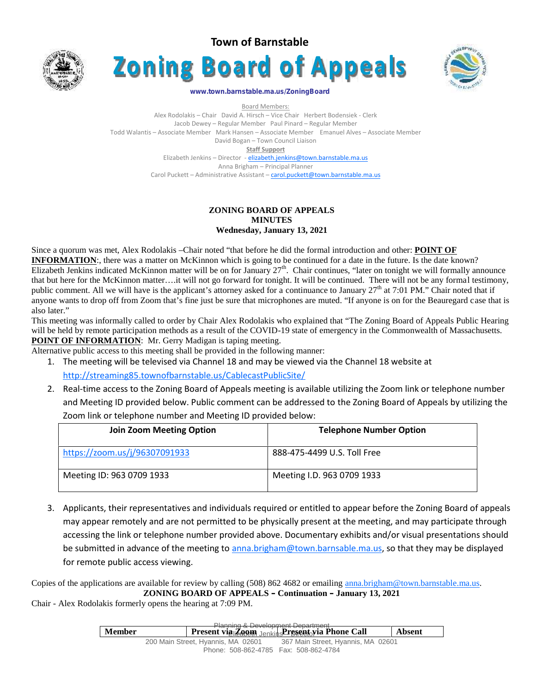





#### **www.town.barnstable.ma.us/ZoningBoard**

Board Members: Alex Rodolakis – Chair David A. Hirsch – Vice Chair Herbert Bodensiek - Clerk Jacob Dewey – Regular Member Paul Pinard – Regular Member Todd Walantis – Associate Member Mark Hansen – Associate Member Emanuel Alves – Associate Member David Bogan – Town Council Liaison **Staff Support** Elizabeth Jenkins – Director - elizabeth.jenkins@town.barnstable.ma.us Anna Brigham – Principal Planner Carol Puckett – Administrative Assistant – carol.puckett@town.barnstable.ma.us

# **ZONING BOARD OF APPEALS MINUTES Wednesday, January 13, 2021**

Since a quorum was met, Alex Rodolakis –Chair noted "that before he did the formal introduction and other: **POINT OF INFORMATION:**, there was a matter on McKinnon which is going to be continued for a date in the future. Is the date known? Elizabeth Jenkins indicated McKinnon matter will be on for January  $27<sup>th</sup>$ . Chair continues, "later on tonight we will formally announce that but here for the McKinnon matter….it will not go forward for tonight. It will be continued. There will not be any formal testimony, public comment. All we will have is the applicant's attorney asked for a continuance to January  $27<sup>th</sup>$  at 7:01 PM." Chair noted that if anyone wants to drop off from Zoom that's fine just be sure that microphones are muted. "If anyone is on for the Beauregard case that is also later."

This meeting was informally called to order by Chair Alex Rodolakis who explained that "The Zoning Board of Appeals Public Hearing will be held by remote participation methods as a result of the COVID-19 state of emergency in the Commonwealth of Massachusetts. **POINT OF INFORMATION:** Mr. Gerry Madigan is taping meeting.

Alternative public access to this meeting shall be provided in the following manner:

1. The meeting will be televised via Channel 18 and may be viewed via the Channel 18 website at

http://streaming85.townofbarnstable.us/CablecastPublicSite/

2. Real-time access to the Zoning Board of Appeals meeting is available utilizing the Zoom link or telephone number and Meeting ID provided below. Public comment can be addressed to the Zoning Board of Appeals by utilizing the Zoom link or telephone number and Meeting ID provided below:

| <b>Join Zoom Meeting Option</b> | <b>Telephone Number Option</b> |
|---------------------------------|--------------------------------|
| https://zoom.us/j/96307091933   | 888-475-4499 U.S. Toll Free    |
| Meeting ID: 963 0709 1933       | Meeting I.D. 963 0709 1933     |

3. Applicants, their representatives and individuals required or entitled to appear before the Zoning Board of appeals may appear remotely and are not permitted to be physically present at the meeting, and may participate through accessing the link or telephone number provided above. Documentary exhibits and/or visual presentations should be submitted in advance of the meeting to anna.brigham@town.barnsable.ma.us, so that they may be displayed for remote public access viewing.

Copies of the applications are available for review by calling (508) 862 4682 or emailing anna.brigham@town.barnstable.ma.us. **ZONING BOARD OF APPEALS – Continuation – January 13, 2021**

Chair - Alex Rodolakis formerly opens the hearing at 7:09 PM.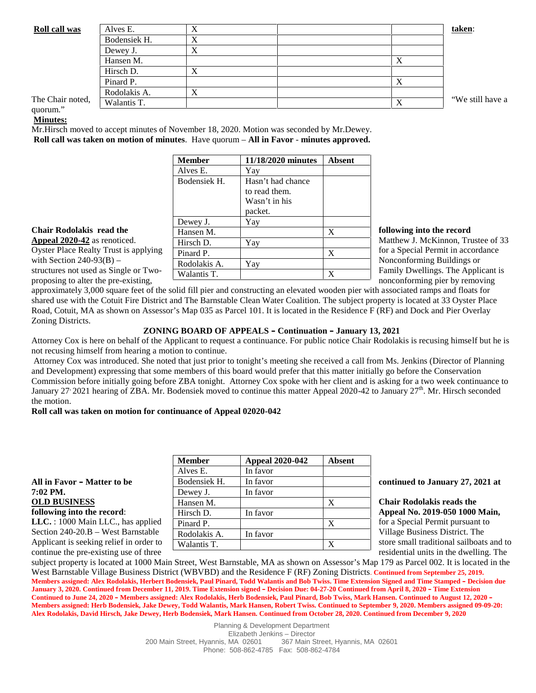| <b>Roll call was</b>     | Alves E.     | ∡ |           | taken:           |
|--------------------------|--------------|---|-----------|------------------|
|                          | Bodensiek H. |   |           |                  |
|                          | Dewey J.     |   |           |                  |
|                          | Hansen M.    |   | $\Lambda$ |                  |
|                          | Hirsch D.    |   |           |                  |
|                          | Pinard P.    |   | Δ         |                  |
|                          | Rodolakis A. |   |           |                  |
| The Chair noted,<br>. 99 | Walantis T.  |   | X         | "We still have a |

### quorum." **Minutes:**

Mr.Hirsch moved to accept minutes of November 18, 2020. Motion was seconded by Mr.Dewey. **Roll call was taken on motion of minutes**. Have quorum – **All in Favor** - **minutes approved.**

|                                       | <b>Member</b> | 11/18/2020 minutes | Absent |                                    |
|---------------------------------------|---------------|--------------------|--------|------------------------------------|
|                                       | Alves E.      | Yay                |        |                                    |
|                                       | Bodensiek H.  | Hasn't had chance  |        |                                    |
|                                       |               | to read them.      |        |                                    |
|                                       |               | Wasn't in his      |        |                                    |
|                                       |               | packet.            |        |                                    |
|                                       | Dewey J.      | Yay                |        |                                    |
| <b>Chair Rodolakis read the</b>       | Hansen M.     |                    | X      | following into the record          |
| <b>Appeal 2020-42</b> as renoticed.   | Hirsch D.     | Yay                |        | Matthew J. McKinnon, Trustee of 33 |
| Oyster Place Realty Trust is applying | Pinard P.     |                    | X      | for a Special Permit in accordance |
| with Section $240-93(B)$ –            | Rodolakis A.  | Yay                |        | Nonconforming Buildings or         |
| structures not used as Single or Two- | Walantis T.   |                    | X      | Family Dwellings. The Applicant is |
| proposing to alter the pre-existing.  |               |                    |        | nonconforming pier by removing     |

approximately 3,000 square feet of the solid fill pier and constructing an elevated wooden pier with associated ramps and floats for shared use with the Cotuit Fire District and The Barnstable Clean Water Coalition. The subject property is located at 33 Oyster Place Road, Cotuit, MA as shown on Assessor's Map 035 as Parcel 101. It is located in the Residence F (RF) and Dock and Pier Overlay Zoning Districts.

## **ZONING BOARD OF APPEALS – Continuation – January 13, 2021**

Attorney Cox is here on behalf of the Applicant to request a continuance. For public notice Chair Rodolakis is recusing himself but he is not recusing himself from hearing a motion to continue.

Attorney Cox was introduced. She noted that just prior to tonight's meeting she received a call from Ms. Jenkins (Director of Planning and Development) expressing that some members of this board would prefer that this matter initially go before the Conservation Commission before initially going before ZBA tonight. Attorney Cox spoke with her client and is asking for a two week continuance to January  $27$  2021 hearing of ZBA. Mr. Bodensiek moved to continue this matter Appeal 2020-42 to January  $27<sup>th</sup>$ . Mr. Hirsch seconded the motion.

### **Roll call was taken on motion for continuance of Appeal 02020-042**

|                                         | <b>Member</b> | <b>Appeal 2020-042</b> | <b>Absent</b> |                                          |
|-----------------------------------------|---------------|------------------------|---------------|------------------------------------------|
|                                         | Alves E.      | In favor               |               |                                          |
| All in Favor – Matter to be             | Bodensiek H.  | In favor               |               | continued to January 27, 2021 at         |
| 7:02 PM.                                | Dewey J.      | In favor               |               |                                          |
| <b>OLD BUSINESS</b>                     | Hansen M.     |                        | Х             | <b>Chair Rodolakis reads the</b>         |
| following into the record:              | Hirsch D.     | In favor               |               | Appeal No. 2019-050 1000 Main,           |
| $LLC. : 1000$ Main LLC., has applied    | Pinard P.     |                        | X             | for a Special Permit pursuant to         |
| Section $240-20.B$ – West Barnstable    | Rodolakis A.  | In favor               |               | Village Business District. The           |
| Applicant is seeking relief in order to | Walantis T.   |                        | X             | store small traditional sailboats and to |
| continue the pre-existing use of three  |               |                        |               | residential units in the dwelling. The   |

subject property is located at 1000 Main Street, West Barnstable, MA as shown on Assessor's Map 179 as Parcel 002. It is located in the West Barnstable Village Business District (WBVBD) and the Residence F (RF) Zoning Districts. **Continued from September 25, 2019. Members assigned: Alex Rodolakis, Herbert Bodensiek, Paul Pinard, Todd Walantis and Bob Twiss. Time Extension Signed and Time Stamped – Decision due January 3, 2020. Continued from December 11, 2019. Time Extension signed – Decision Due: 04-27-20 Continued from April 8, 2020 – Time Extension Continued to June 24, 2020 – Members assigned: Alex Rodolakis, Herb Bodensiek, Paul Pinard, Bob Twiss, Mark Hansen. Continued to August 12, 2020 – Members assigned: Herb Bodensiek, Jake Dewey, Todd Walantis, Mark Hansen, Robert Twiss. Continued to September 9, 2020. Members assigned 09-09-20: Alex Rodolakis, David Hirsch, Jake Dewey, Herb Bodensiek, Mark Hansen. Continued from October 28, 2020. Continued from December 9, 2020**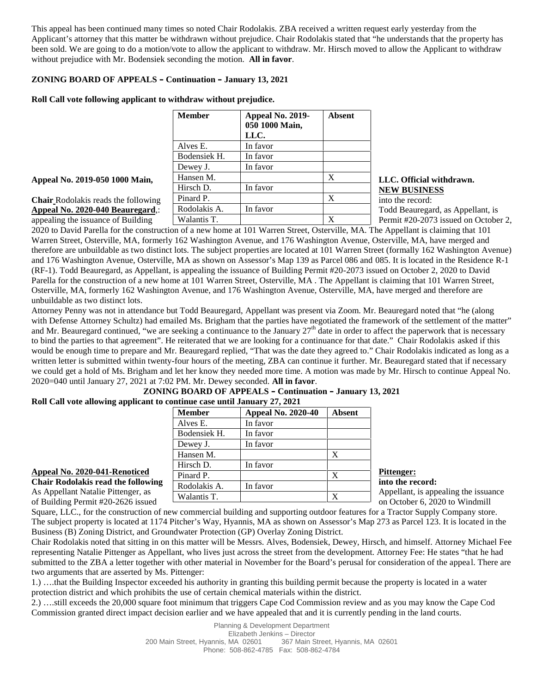This appeal has been continued many times so noted Chair Rodolakis. ZBA received a written request early yesterday from the Applicant's attorney that this matter be withdrawn without prejudice. Chair Rodolakis stated that "he understands that the property has been sold. We are going to do a motion/vote to allow the applicant to withdraw. Mr. Hirsch moved to allow the Applicant to withdraw without prejudice with Mr. Bodensiek seconding the motion. **All in favor**.

# **ZONING BOARD OF APPEALS – Continuation – January 13, 2021**

## **Roll Call vote following applicant to withdraw without prejudice.**

|                                            | <b>Member</b> | Appeal No. 2019-<br>050 1000 Main, | <b>Absent</b> |                                   |
|--------------------------------------------|---------------|------------------------------------|---------------|-----------------------------------|
|                                            |               | LLC.                               |               |                                   |
|                                            | Alves E.      | In favor                           |               |                                   |
|                                            | Bodensiek H.  | In favor                           |               |                                   |
|                                            | Dewey J.      | In favor                           |               |                                   |
| Appeal No. 2019-050 1000 Main,             | Hansen M.     |                                    | X             | LLC. Official withdrawn.          |
|                                            | Hirsch D.     | In favor                           |               | <b>NEW BUSINESS</b>               |
| <b>Chair</b> Rodolakis reads the following | Pinard P.     |                                    | X             | into the record:                  |
| Appeal No. 2020-040 Beauregard,:           | Rodolakis A.  | In favor                           |               | Todd Beauregard, as Appellant, is |
| appealing the issuance of Building         | Walantis T.   |                                    | X             | Permit #20-2073 issued on Octobe  |

# **NEW BUSINESS**

appealing the issuance of Building Permit #20-2073 issued on October 2, 2020 to David Parella for the construction of a new home at 101 Warren Street, Osterville, MA. The Appellant is claiming that 101 Warren Street, Osterville, MA, formerly 162 Washington Avenue, and 176 Washington Avenue, Osterville, MA, have merged and therefore are unbuildable as two distinct lots. The subject properties are located at 101 Warren Street (formally 162 Washington Avenue) and 176 Washington Avenue, Osterville, MA as shown on Assessor's Map 139 as Parcel 086 and 085. It is located in the Residence R-1 (RF-1). Todd Beauregard, as Appellant, is appealing the issuance of Building Permit #20-2073 issued on October 2, 2020 to David Parella for the construction of a new home at 101 Warren Street, Osterville, MA . The Appellant is claiming that 101 Warren Street, Osterville, MA, formerly 162 Washington Avenue, and 176 Washington Avenue, Osterville, MA, have merged and therefore are unbuildable as two distinct lots.

Attorney Penny was not in attendance but Todd Beauregard, Appellant was present via Zoom. Mr. Beauregard noted that "he (along with Defense Attorney Schultz) had emailed Ms. Brigham that the parties have negotiated the framework of the settlement of the matter" and Mr. Beauregard continued, "we are seeking a continuance to the January  $27<sup>th</sup>$  date in order to affect the paperwork that is necessary to bind the parties to that agreement". He reiterated that we are looking for a continuance for that date." Chair Rodolakis asked if this would be enough time to prepare and Mr. Beauregard replied, "That was the date they agreed to." Chair Rodolakis indicated as long as a written letter is submitted within twenty-four hours of the meeting, ZBA can continue it further. Mr. Beauregard stated that if necessary we could get a hold of Ms. Brigham and let her know they needed more time. A motion was made by Mr. Hirsch to continue Appeal No. 2020=040 until January 27, 2021 at 7:02 PM. Mr. Dewey seconded. **All in favor**.

#### **ZONING BOARD OF APPEALS – Continuation – January 13, 2021 Roll Call vote allowing applicant to continue case until January 27, 2021**

|                                                                                            | <b>Member</b> | <b>Appeal No. 2020-40</b> | <b>Absent</b> |                                                                             |
|--------------------------------------------------------------------------------------------|---------------|---------------------------|---------------|-----------------------------------------------------------------------------|
|                                                                                            | Alves E.      | In favor                  |               |                                                                             |
|                                                                                            | Bodensiek H.  | In favor                  |               |                                                                             |
|                                                                                            | Dewey J.      | In favor                  |               |                                                                             |
|                                                                                            | Hansen M.     |                           |               |                                                                             |
|                                                                                            | Hirsch D.     | In favor                  |               |                                                                             |
| <b>Appeal No. 2020-041-Renoticed</b>                                                       | Pinard P.     |                           | X             | <b>Pittenger:</b>                                                           |
| <b>Chair Rodolakis read the following</b>                                                  | Rodolakis A.  | In favor                  |               | into the record:                                                            |
| As Appellant Natalie Pittenger, as<br>$\sim$ CD $\sim$ 14 $\sim$ Denote 400.0606 $\sim$ 1. | Walantis T.   |                           | X             | Appellant, is appealing the issuance<br>$\sim$ Ostalian C 2020 to Window 11 |

Square, LLC., for the construction of new commercial building and supporting outdoor features for a Tractor Supply Company store. The subject property is located at 1174 Pitcher's Way, Hyannis, MA as shown on Assessor's Map 273 as Parcel 123. It is located in the Business (B) Zoning District, and Groundwater Protection (GP) Overlay Zoning District.

Chair Rodolakis noted that sitting in on this matter will be Messrs. Alves, Bodensiek, Dewey, Hirsch, and himself. Attorney Michael Fee representing Natalie Pittenger as Appellant, who lives just across the street from the development. Attorney Fee: He states "that he had submitted to the ZBA a letter together with other material in November for the Board's perusal for consideration of the appeal. There are two arguments that are asserted by Ms. Pittenger:

1.) ….that the Building Inspector exceeded his authority in granting this building permit because the property is located in a water protection district and which prohibits the use of certain chemical materials within the district.

2.) ….still exceeds the 20,000 square foot minimum that triggers Cape Cod Commission review and as you may know the Cape Cod Commission granted direct impact decision earlier and we have appealed that and it is currently pending in the land courts.

of Building Permit #20-2626 issued  $\frac{1.4}{2}$  on October 6, 2020 to Windmill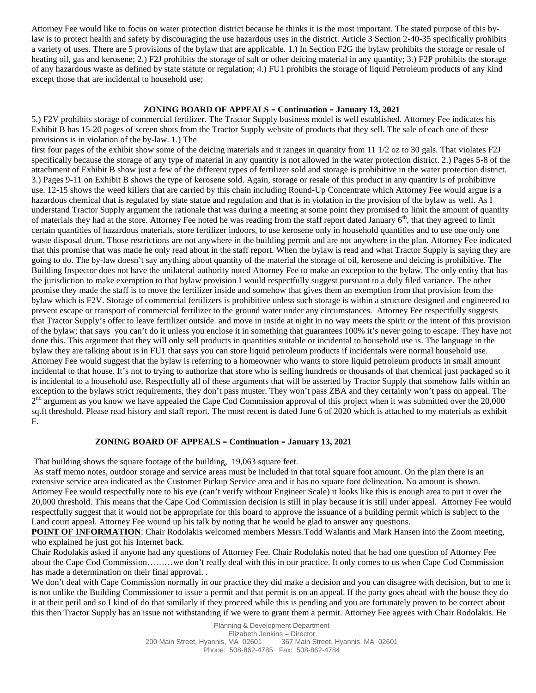Attorney Fee would like to focus on water protection district because he thinks it is the most important. The stated purpose of this bylaw is to protect health and safety by discouraging the use hazardous uses in the district. Article 3 Section 2-40-35 specifically prohibits a variety of uses. There are 5 provisions of the bylaw that are applicable. 1.) In Section F2G the bylaw prohibits the storage or resale of heating oil, gas and kerosene; 2.) F2J prohibits the storage of salt or other deicing material in any quantity; 3.) F2P prohibits the storage of any hazardous waste as defined by state statute or regulation; 4.) FU1 prohibits the storage of liquid Petroleum products of any kind except those that are incidental to household use;

## **ZONING BOARD OF APPEALS – Continuation – January 13, 2021**

5.) F2V prohibits storage of commercial fertilizer. The Tractor Supply business model is well established. Attorney Fee indicates his Exhibit B has 15-20 pages of screen shots from the Tractor Supply website of products that they sell. The sale of each one of these provisions is in violation of the by-law. 1.) The

first four pages of the exhibit show some of the deicing materials and it ranges in quantity from 11 1/2 oz to 30 gals. That violates F2J specifically because the storage of any type of material in any quantity is not allowed in the water protection district. 2.) Pages 5-8 of the attachment of Exhibit B show just a few of the different types of fertilizer sold and storage is prohibitive in the water protection district. 3.) Pages 9-11 on Exhibit B shows the type of kerosene sold. Again, storage or resale of this product in any quantity is of prohibitive use. 12-15 shows the weed killers that are carried by this chain including Round-Up Concentrate which Attorney Fee would argue is a hazardous chemical that is regulated by state statue and regulation and that is in violation in the provision of the bylaw as well. As I understand Tractor Supply argument the rationale that was during a meeting at some point they promised to limit the amount of quantity of materials they had at the store. Attorney Fee noted he was reading from the staff report dated January  $6<sup>th</sup>$ , that they agreed to limit certain quantities of hazardous materials, store fertilizer indoors, to use kerosene only in household quantities and to use one only one waste disposal drum. Those restrictions are not anywhere in the building permit and are not anywhere in the plan. Attorney Fee indicated that this promise that was made he only read about in the staff report. When the bylaw is read and what Tractor Supply is saying they are going to do. The by-law doesn't say anything about quantity of the material the storage of oil, kerosene and deicing is prohibitive. The Building Inspector does not have the unilateral authority noted Attorney Fee to make an exception to the bylaw. The only entity that has the jurisdiction to make exemption to that bylaw provision I would respectfully suggest pursuant to a duly filed variance. The other promise they made the staff is to move the fertilizer inside and somehow that gives them an exemption from that provision from the bylaw which is F2V. Storage of commercial fertilizers is prohibitive unless such storage is within a structure designed and engineered to prevent escape or transport of commercial fertilizer to the ground water under any circumstances. Attorney Fee respectfully suggests that Tractor Supply's offer to leave fertilizer outside and move in inside at night in no way meets the spirit or the intent of this provision of the bylaw; that says you can't do it unless you enclose it in something that guarantees 100% it's never going to escape. They have not done this. This argument that they will only sell products in quantities suitable or incidental to household use is. The language in the bylaw they are talking about is in FU1 that says you can store liquid petroleum products if incidentals were normal household use. Attorney Fee would suggest that the bylaw is referring to a homeowner who wants to store liquid petroleum products in small amount incidental to that house. It's not to trying to authorize that store who is selling hundreds or thousands of that chemical just packaged so it is incidental to a household use. Respectfully all of these arguments that will be asserted by Tractor Supply that somehow falls within an exception to the bylaws strict requirements, they don't pass muster. They won't pass ZBA and they certainly won't pass on appeal. The 2<sup>nd</sup> argument as you know we have appealed the Cape Cod Commission approval of this project when it was submitted over the 20,000 sq.ft threshold. Please read history and staff report. The most recent is dated June 6 of 2020 which is attached to my materials as exhibit F.

### **ZONING BOARD OF APPEALS – Continuation – January 13, 2021**

That building shows the square footage of the building, 19,063 square feet.

As staff memo notes, outdoor storage and service areas must be included in that total square foot amount. On the plan there is an extensive service area indicated as the Customer Pickup Service area and it has no square foot delineation. No amount is shown. Attorney Fee would respectfully note to his eye (can't verify without Engineer Scale) it looks like this is enough area to put it over the 20,000 threshold. This means that the Cape Cod Commission decision is still in play because it is still under appeal. Attorney Fee would respectfully suggest that it would not be appropriate for this board to approve the issuance of a building permit which is subject to the Land court appeal. Attorney Fee wound up his talk by noting that he would be glad to answer any questions.

**POINT OF INFORMATION**: Chair Rodolakis welcomed members Messrs.Todd Walantis and Mark Hansen into the Zoom meeting, who explained he just got his Internet back.

Chair Rodolakis asked if anyone had any questions of Attorney Fee. Chair Rodolakis noted that he had one question of Attorney Fee about the Cape Cod Commission………we don't really deal with this in our practice. It only comes to us when Cape Cod Commission has made a determination on their final approval. .

We don't deal with Cape Commission normally in our practice they did make a decision and you can disagree with decision, but to me it is not unlike the Building Commissioner to issue a permit and that permit is on an appeal. If the party goes ahead with the house they do it at their peril and so I kind of do that similarly if they proceed while this is pending and you are fortunately proven to be correct about this then Tractor Supply has an issue not withstanding if we were to grant them a permit. Attorney Fee agrees with Chair Rodolakis. He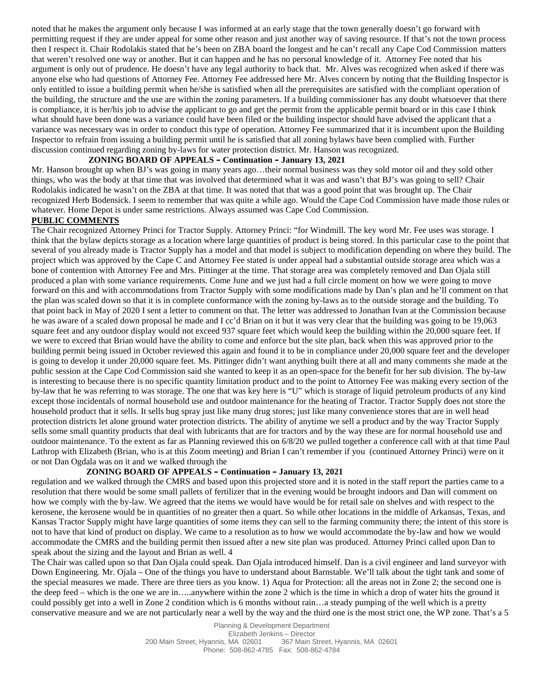noted that he makes the argument only because I was informed at an early stage that the town generally doesn't go forward with permitting request if they are under appeal for some other reason and just another way of saving resource. If that's not the town process then I respect it. Chair Rodolakis stated that he's been on ZBA board the longest and he can't recall any Cape Cod Commission matters that weren't resolved one way or another. But it can happen and he has no personal knowledge of it. Attorney Fee noted that his argument is only out of prudence. He doesn't have any legal authority to back that. Mr. Alves was recognized when asked if there was anyone else who had questions of Attorney Fee. Attorney Fee addressed here Mr. Alves concern by noting that the Building Inspector is only entitled to issue a building permit when he/she is satisfied when all the prerequisites are satisfied with the compliant operation of the building, the structure and the use are within the zoning parameters. If a building commissioner has any doubt whatsoever that there is compliance, it is her/his job to advise the applicant to go and get the permit from the applicable permit board or in this case I think what should have been done was a variance could have been filed or the building inspector should have advised the applicant that a variance was necessary was in order to conduct this type of operation. Attorney Fee summarized that it is incumbent upon the Building Inspector to refrain from issuing a building permit until he is satisfied that all zoning bylaws have been complied with. Further discussion continued regarding zoning by-laws for water protection district. Mr. Hanson was recognized.

# **ZONING BOARD OF APPEALS – Continuation – January 13, 2021**

Mr. Hanson brought up when BJ's was going in many years ago…their normal business was they sold motor oil and they sold other things, who was the body at that time that was involved that determined what it was and wasn't that BJ's was going to sell? Chair Rodolakis indicated he wasn't on the ZBA at that time. It was noted that that was a good point that was brought up. The Chair recognized Herb Bodensick. I seem to remember that was quite a while ago. Would the Cape Cod Commission have made those rules or whatever. Home Depot is under same restrictions. Always assumed was Cape Cod Commission.

# **PUBLIC COMMENTS**

The Chair recognized Attorney Princi for Tractor Supply. Attorney Princi: "for Windmill. The key word Mr. Fee uses was storage. I think that the bylaw depicts storage as a location where large quantities of product is being stored. In this particular case to the point that several of you already made is Tractor Supply has a model and that model is subject to modification depending on where they build. The project which was approved by the Cape C and Attorney Fee stated is under appeal had a substantial outside storage area which was a bone of contention with Attorney Fee and Mrs. Pittinger at the time. That storage area was completely removed and Dan Ojala still produced a plan with some variance requirements. Come June and we just had a full circle moment on how we were going to move forward on this and with accommodations from Tractor Supply with some modifications made by Dan's plan and he'll comment on that the plan was scaled down so that it is in complete conformance with the zoning by-laws as to the outside storage and the building. To that point back in May of 2020 I sent a letter to comment on that. The letter was addressed to Jonathan Ivan at the Commission because he was aware of a scaled down proposal he made and I cc'd Brian on it but it was very clear that the building was going to be 19,063 square feet and any outdoor display would not exceed 937 square feet which would keep the building within the 20,000 square feet. If we were to exceed that Brian would have the ability to come and enforce but the site plan, back when this was approved prior to the building permit being issued in October reviewed this again and found it to be in compliance under 20,000 square feet and the developer is going to develop it under 20,000 square feet. Ms. Pittinger didn't want anything built there at all and many comments she made at the public session at the Cape Cod Commission said she wanted to keep it as an open-space for the benefit for her sub division. The by-law is interesting to because there is no specific quantity limitation product and to the point to Attorney Fee was making every section of the by-law that he was referring to was storage. The one that was key here is "U" which is storage of liquid petroleum products of any kind except those incidentals of normal household use and outdoor maintenance for the heating of Tractor. Tractor Supply does not store the household product that it sells. It sells bug spray just like many drug stores; just like many convenience stores that are in well head protection districts let alone ground water protection districts. The ability of anytime we sell a product and by the way Tractor Supply sells some small quantity products that deal with lubricants that are for tractors and by the way these are for normal household use and outdoor maintenance. To the extent as far as Planning reviewed this on 6/8/20 we pulled together a conference call with at that time Paul Lathrop with Elizabeth (Brian, who is at this Zoom meeting) and Brian I can't remember if you (continued Attorney Princi) were on it or not Dan Ogdala was on it and we walked through the

# **ZONING BOARD OF APPEALS – Continuation – January 13, 2021**

regulation and we walked through the CMRS and based upon this projected store and it is noted in the staff report the parties came to a resolution that there would be some small pallets of fertilizer that in the evening would be brought indoors and Dan will comment on how we comply with the by-law. We agreed that the items we would have would be for retail sale on shelves and with respect to the kerosene, the kerosene would be in quantities of no greater then a quart. So while other locations in the middle of Arkansas, Texas, and Kansas Tractor Supply might have large quantities of some items they can sell to the farming community there; the intent of this store is not to have that kind of product on display. We came to a resolution as to how we would accommodate the by-law and how we would accommodate the CMRS and the building permit then issued after a new site plan was produced. Attorney Princi called upon Dan to speak about the sizing and the layout and Brian as well. 4

The Chair was called upon so that Dan Ojala could speak. Dan Ojala introduced himself. Dan is a civil engineer and land surveyor with Down Engineering. Mr. Ojala – One of the things you have to understand about Barnstable. We'll talk about the tight tank and some of the special measures we made. There are three tiers as you know. 1) Aqua for Protection: all the areas not in Zone 2; the second one is the deep feed – which is the one we are in…..anywhere within the zone 2 which is the time in which a drop of water hits the ground it could possibly get into a well in Zone 2 condition which is 6 months without rain…a steady pumping of the well which is a pretty conservative measure and we are not particularly near a well by the way and the third one is the most strict one, the WP zone. That's a 5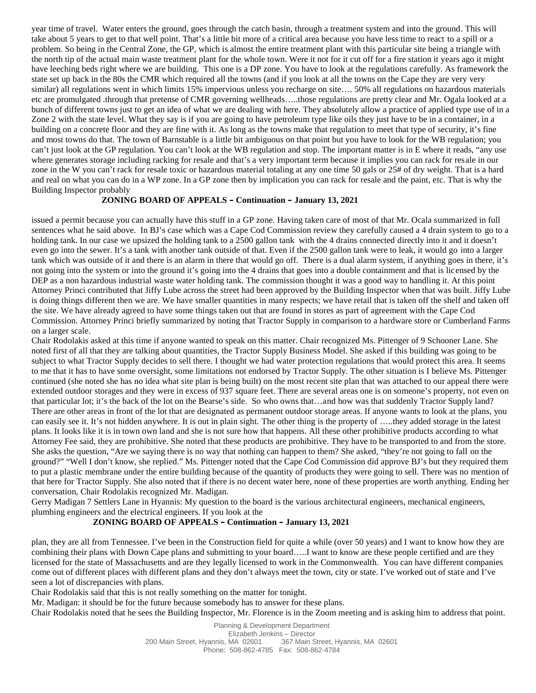year time of travel. Water enters the ground, goes through the catch basin, through a treatment system and into the ground. This will take about 5 years to get to that well point. That's a little bit more of a critical area because you have less time to react to a spill or a problem. So being in the Central Zone, the GP, which is almost the entire treatment plant with this particular site being a triangle with the north tip of the actual main waste treatment plant for the whole town. Were it not for it cut off for a fire station it years ago it might have leeching beds right where we are building. This one is a DP zone. You have to look at the regulations carefully. As framework the state set up back in the 80s the CMR which required all the towns (and if you look at all the towns on the Cape they are very very similar) all regulations went in which limits 15% impervious unless you recharge on site…. 50% all regulations on hazardous materials etc are promulgated .through that pretense of CMR governing wellheads…..those regulations are pretty clear and Mr. Ogala looked at a bunch of different towns just to get an idea of what we are dealing with here. They absolutely allow a practice of applied type use of in a Zone 2 with the state level. What they say is if you are going to have petroleum type like oils they just have to be in a container, in a building on a concrete floor and they are fine with it. As long as the towns make that regulation to meet that type of security, it's fine and most towns do that. The town of Barnstable is a little bit ambiguous on that point but you have to look for the WB regulation; you can't just look at the GP regulation. You can't look at the WB regulation and stop. The important matter is in E where it reads, "any use where generates storage including racking for resale and that's a very important term because it implies you can rack for resale in our zone in the W you can't rack for resale toxic or hazardous material totaling at any one time 50 gals or 25# of dry weight. That is a hard and real on what you can do in a WP zone. In a GP zone then by implication you can rack for resale and the paint, etc. That is why the Building Inspector probably

### **ZONING BOARD OF APPEALS – Continuation – January 13, 2021**

issued a permit because you can actually have this stuff in a GP zone. Having taken care of most of that Mr. Ocala summarized in full sentences what he said above. In BJ's case which was a Cape Cod Commission review they carefully caused a 4 drain system to go to a holding tank. In our case we upsized the holding tank to a 2500 gallon tank with the 4 drains connected directly into it and it doesn't even go into the sewer. It's a tank with another tank outside of that. Even if the 2500 gallon tank were to leak, it would go into a larger tank which was outside of it and there is an alarm in there that would go off. There is a dual alarm system, if anything goes in there, it's not going into the system or into the ground it's going into the 4 drains that goes into a double containment and that is licensed by the DEP as a non hazardous industrial waste water holding tank. The commission thought it was a good way to handling it. At this point Attorney Princi contributed that Jiffy Lube across the street had been approved by the Building Inspector when that was built. Jiffy Lube is doing things different then we are. We have smaller quantities in many respects; we have retail that is taken off the shelf and taken off the site. We have already agreed to have some things taken out that are found in stores as part of agreement with the Cape Cod Commission. Attorney Princi briefly summarized by noting that Tractor Supply in comparison to a hardware store or Cumberland Farms on a larger scale.

Chair Rodolakis asked at this time if anyone wanted to speak on this matter. Chair recognized Ms. Pittenger of 9 Schooner Lane. She noted first of all that they are talking about quantities, the Tractor Supply Business Model. She asked if this building was going to be subject to what Tractor Supply decides to sell there. I thought we had water protection regulations that would protect this area. It seems to me that it has to have some oversight, some limitations not endorsed by Tractor Supply. The other situation is I believe Ms. Pittenger continued (she noted she has no idea what site plan is being built) on the most recent site plan that was attached to our appeal there were extended outdoor storages and they were in excess of 937 square feet. There are several areas one is on someone's property, not even on that particular lot; it's the back of the lot on the Bearse's side. So who owns that…and how was that suddenly Tractor Supply land? There are other areas in front of the lot that are designated as permanent outdoor storage areas. If anyone wants to look at the plans, you can easily see it. It's not hidden anywhere. It is out in plain sight. The other thing is the property of …..they added storage in the latest plans. It looks like it is in town own land and she is not sure how that happens. All these other prohibitive products according to what Attorney Fee said, they are prohibitive. She noted that these products are prohibitive. They have to be transported to and from the store. She asks the question, "Are we saying there is no way that nothing can happen to them? She asked, "they're not going to fall on the ground?" "Well I don't know, she replied." Ms. Pittenger noted that the Cape Cod Commission did approve BJ's but they required them to put a plastic membrane under the entire building because of the quantity of products they were going to sell. There was no mention of that here for Tractor Supply. She also noted that if there is no decent water here, none of these properties are worth anything. Ending her conversation, Chair Rodolakis recognized Mr. Madigan.

Gerry Madigan 7 Settlers Lane in Hyannis: My question to the board is the various architectural engineers, mechanical engineers, plumbing engineers and the electrical engineers. If you look at the

### **ZONING BOARD OF APPEALS – Continuation – January 13, 2021**

plan, they are all from Tennessee. I've been in the Construction field for quite a while (over 50 years) and I want to know how they are combining their plans with Down Cape plans and submitting to your board…..I want to know are these people certified and are they licensed for the state of Massachusetts and are they legally licensed to work in the Commonwealth. You can have different companies come out of different places with different plans and they don't always meet the town, city or state. I've worked out of state and I've seen a lot of discrepancies with plans.

Chair Rodolakis said that this is not really something on the matter for tonight.

Mr. Madigan: it should be for the future because somebody has to answer for these plans.

Chair Rodolakis noted that he sees the Building Inspector, Mr. Florence is in the Zoom meeting and is asking him to address that point.

Planning & Development Department Elizabeth Jenkins – Director 200 Main Street, Hyannis, MA 02601 367 Main Street, Hyannis, MA 02601 Phone: 508-862-4785 Fax: 508-862-4784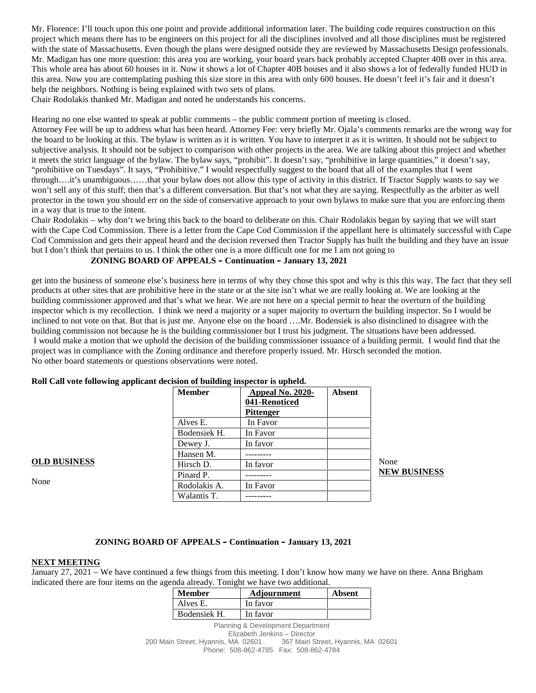Mr. Florence: I'll touch upon this one point and provide additional information later. The building code requires construction on this project which means there has to be engineers on this project for all the disciplines involved and all those disciplines must be registered with the state of Massachusetts. Even though the plans were designed outside they are reviewed by Massachusetts Design professionals. Mr. Madigan has one more question: this area you are working, your board years back probably accepted Chapter 40B over in this area. This whole area has about 60 houses in it. Now it shows a lot of Chapter 40B houses and it also shows a lot of federally funded HUD in this area. Now you are contemplating pushing this size store in this area with only 600 houses. He doesn't feel it's fair and it doesn't help the neighbors. Nothing is being explained with two sets of plans.

Chair Rodolakis thanked Mr. Madigan and noted he understands his concerns.

Hearing no one else wanted to speak at public comments – the public comment portion of meeting is closed.

Attorney Fee will be up to address what has been heard. Attorney Fee: very briefly Mr. Ojala's comments remarks are the wrong way for the board to be looking at this. The bylaw is written as it is written. You have to interpret it as it is written. It should not be subject to subjective analysis. It should not be subject to comparison with other projects in the area. We are talking about this project and whether it meets the strict language of the bylaw. The bylaw says, "prohibit". It doesn't say, "prohibitive in large quantities," it doesn't say, "prohibitive on Tuesdays". It says, "Prohibitive." I would respectfully suggest to the board that all of the examples that I went through….it's unambiguous……that your bylaw does not allow this type of activity in this district. If Tractor Supply wants to say we won't sell any of this stuff; then that's a different conversation. But that's not what they are saying. Respectfully as the arbiter as well protector in the town you should err on the side of conservative approach to your own bylaws to make sure that you are enforcing them in a way that is true to the intent.

Chair Rodolakis – why don't we bring this back to the board to deliberate on this. Chair Rodolakis began by saying that we will start with the Cape Cod Commission. There is a letter from the Cape Cod Commission if the appellant here is ultimately successful with Cape Cod Commission and gets their appeal heard and the decision reversed then Tractor Supply has built the building and they have an issue but I don't think that pertains to us. I think the other one is a more difficult one for me I am not going to

#### **ZONING BOARD OF APPEALS – Continuation – January 13, 2021**

get into the business of someone else's business here in terms of why they chose this spot and why is this this way. The fact that they sell products at other sites that are prohibitive here in the state or at the site isn't what we are really looking at. We are looking at the building commissioner approved and that's what we hear. We are not here on a special permit to hear the overturn of the building inspector which is my recollection. I think we need a majority or a super majority to overturn the building inspector. So I would be inclined to not vote on that. But that is just me. Anyone else on the board ….Mr. Bodensiek is also disinclined to disagree with the building commission not because he is the building commissioner but I trust his judgment. The situations have been addressed. I would make a motion that we uphold the decision of the building commissioner issuance of a building permit. I would find that the project was in compliance with the Zoning ordinance and therefore properly issued. Mr. Hirsch seconded the motion. No other board statements or questions observations were noted.

| <b>Member</b> | Appeal No. 2020- | <b>Absent</b> |                     |
|---------------|------------------|---------------|---------------------|
|               | 041-Renoticed    |               |                     |
|               | <b>Pittenger</b> |               |                     |
| Alves E.      | In Favor         |               |                     |
| Bodensiek H.  | In Favor         |               |                     |
| Dewey J.      | In favor         |               |                     |
| Hansen M.     |                  |               |                     |
| Hirsch D.     | In favor         |               | None                |
| Pinard P.     |                  |               | <b>NEW BUSINESS</b> |
| Rodolakis A.  | In Favor         |               |                     |
| Walantis T.   |                  |               |                     |

#### **Roll Call vote following applicant decision of building inspector is upheld.**

**OLD BUSINESS** 

None

#### **ZONING BOARD OF APPEALS – Continuation – January 13, 2021**

#### **NEXT MEETING**

January 27, 2021 – We have continued a few things from this meeting. I don't know how many we have on there. Anna Brigham indicated there are four items on the agenda already. Tonight we have two additional.

| <b>Member</b> | <b>Adiournment</b> | Absent |  |
|---------------|--------------------|--------|--|
| Alves E.      | In favor           |        |  |
| Bodensiek H.  | In favor           |        |  |

Planning & Development Department Elizabeth Jenkins – Director 200 Main Street, Hyannis, MA 02601 367 Main Street, Hyannis, MA 02601 Phone: 508-862-4785 Fax: 508-862-4784